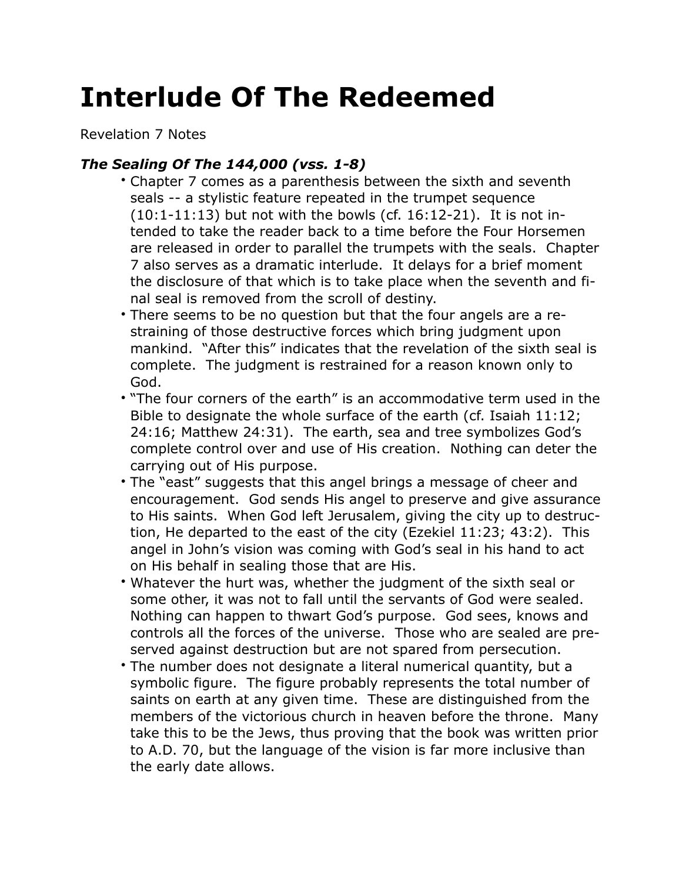## **Interlude Of The Redeemed**

Revelation 7 Notes

## *The Sealing Of The 144,000 (vss. 1-8)*

- Chapter 7 comes as a parenthesis between the sixth and seventh seals -- a stylistic feature repeated in the trumpet sequence  $(10:1-11:13)$  but not with the bowls (cf. 16:12-21). It is not intended to take the reader back to a time before the Four Horsemen are released in order to parallel the trumpets with the seals. Chapter 7 also serves as a dramatic interlude. It delays for a brief moment the disclosure of that which is to take place when the seventh and final seal is removed from the scroll of destiny.
- There seems to be no question but that the four angels are a restraining of those destructive forces which bring judgment upon mankind. "After this" indicates that the revelation of the sixth seal is complete. The judgment is restrained for a reason known only to God.
- "The four corners of the earth" is an accommodative term used in the Bible to designate the whole surface of the earth (cf. Isaiah 11:12; 24:16; Matthew 24:31). The earth, sea and tree symbolizes God's complete control over and use of His creation. Nothing can deter the carrying out of His purpose.
- The "east" suggests that this angel brings a message of cheer and encouragement. God sends His angel to preserve and give assurance to His saints. When God left Jerusalem, giving the city up to destruction, He departed to the east of the city (Ezekiel 11:23; 43:2). This angel in John's vision was coming with God's seal in his hand to act on His behalf in sealing those that are His.
- Whatever the hurt was, whether the judgment of the sixth seal or some other, it was not to fall until the servants of God were sealed. Nothing can happen to thwart God's purpose. God sees, knows and controls all the forces of the universe. Those who are sealed are preserved against destruction but are not spared from persecution.
- The number does not designate a literal numerical quantity, but a symbolic figure. The figure probably represents the total number of saints on earth at any given time. These are distinguished from the members of the victorious church in heaven before the throne. Many take this to be the Jews, thus proving that the book was written prior to A.D. 70, but the language of the vision is far more inclusive than the early date allows.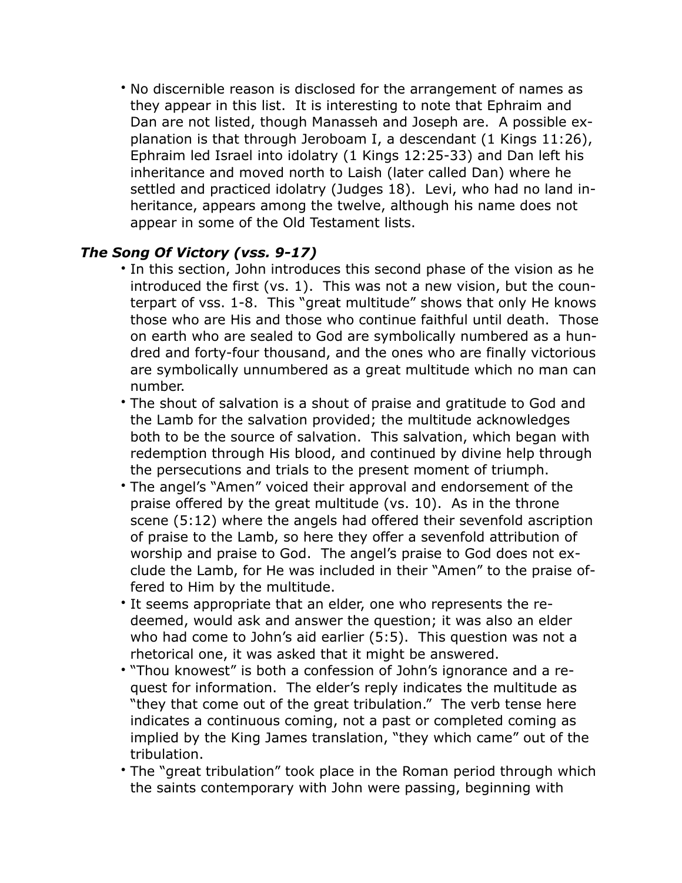• No discernible reason is disclosed for the arrangement of names as they appear in this list. It is interesting to note that Ephraim and Dan are not listed, though Manasseh and Joseph are. A possible explanation is that through Jeroboam I, a descendant (1 Kings 11:26), Ephraim led Israel into idolatry (1 Kings 12:25-33) and Dan left his inheritance and moved north to Laish (later called Dan) where he settled and practiced idolatry (Judges 18). Levi, who had no land inheritance, appears among the twelve, although his name does not appear in some of the Old Testament lists.

## *The Song Of Victory (vss. 9-17)*

- In this section, John introduces this second phase of the vision as he introduced the first (vs. 1). This was not a new vision, but the counterpart of vss. 1-8. This "great multitude" shows that only He knows those who are His and those who continue faithful until death. Those on earth who are sealed to God are symbolically numbered as a hundred and forty-four thousand, and the ones who are finally victorious are symbolically unnumbered as a great multitude which no man can number.
- The shout of salvation is a shout of praise and gratitude to God and the Lamb for the salvation provided; the multitude acknowledges both to be the source of salvation. This salvation, which began with redemption through His blood, and continued by divine help through the persecutions and trials to the present moment of triumph.
- The angel's "Amen" voiced their approval and endorsement of the praise offered by the great multitude (vs. 10). As in the throne scene (5:12) where the angels had offered their sevenfold ascription of praise to the Lamb, so here they offer a sevenfold attribution of worship and praise to God. The angel's praise to God does not exclude the Lamb, for He was included in their "Amen" to the praise offered to Him by the multitude.
- It seems appropriate that an elder, one who represents the redeemed, would ask and answer the question; it was also an elder who had come to John's aid earlier (5:5). This question was not a rhetorical one, it was asked that it might be answered.
- "Thou knowest" is both a confession of John's ignorance and a request for information. The elder's reply indicates the multitude as "they that come out of the great tribulation." The verb tense here indicates a continuous coming, not a past or completed coming as implied by the King James translation, "they which came" out of the tribulation.
- The "great tribulation" took place in the Roman period through which the saints contemporary with John were passing, beginning with